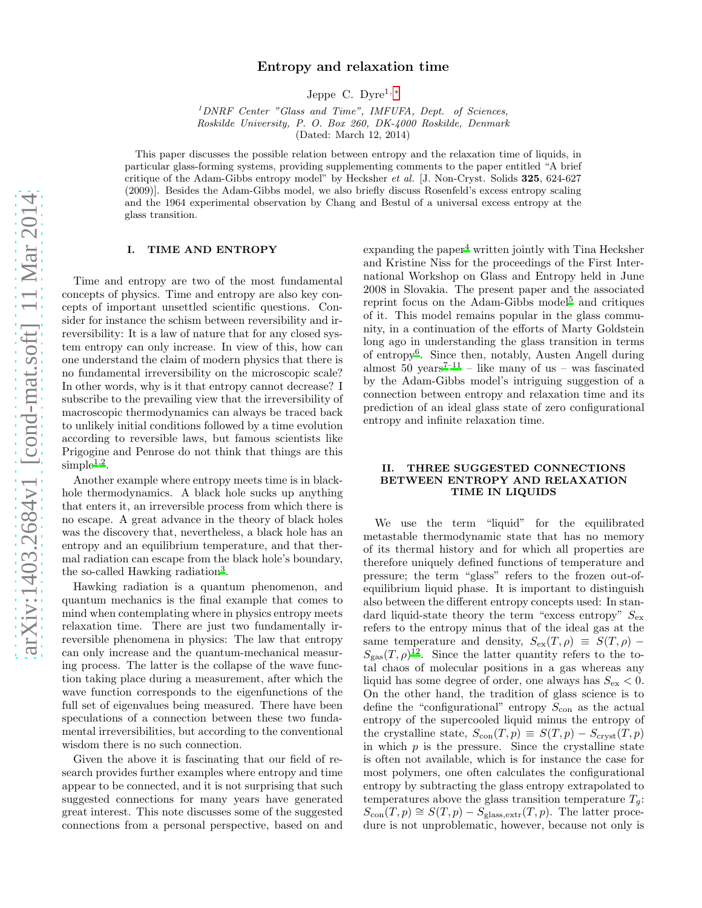# Entropy and relaxation time

Jeppe C. Dyre1, [∗](#page-4-0)

<sup>1</sup>*DNRF Center "Glass and Time", IMFUFA, Dept. of Sciences, Roskilde University, P. O. Box 260, DK-4000 Roskilde, Denmark* (Dated: March 12, 2014)

This paper discusses the possible relation between entropy and the relaxation time of liquids, in particular glass-forming systems, providing supplementing comments to the paper entitled "A brief critique of the Adam-Gibbs entropy model" by Hecksher *et al.* [J. Non-Cryst. Solids 325, 624-627 (2009)]. Besides the Adam-Gibbs model, we also briefly discuss Rosenfeld's excess entropy scaling and the 1964 experimental observation by Chang and Bestul of a universal excess entropy at the glass transition.

#### I. TIME AND ENTROPY

Time and entropy are two of the most fundamental concepts of physics. Time and entropy are also key concepts of important unsettled scientific questions. Consider for instance the schism between reversibility and irreversibility: It is a law of nature that for any closed system entropy can only increase. In view of this, how can one understand the claim of modern physics that there is no fundamental irreversibility on the microscopic scale? In other words, why is it that entropy cannot decrease? I subscribe to the prevailing view that the irreversibility of macroscopic thermodynamics can always be traced back to unlikely initial conditions followed by a time evolution according to reversible laws, but famous scientists like Prigogine and Penrose do not think that things are this  $\text{simple}^{1,2}.$  $\text{simple}^{1,2}.$  $\text{simple}^{1,2}.$  $\text{simple}^{1,2}.$ 

Another example where entropy meets time is in blackhole thermodynamics. A black hole sucks up anything that enters it, an irreversible process from which there is no escape. A great advance in the theory of black holes was the discovery that, nevertheless, a black hole has an entropy and an equilibrium temperature, and that thermal radiation can escape from the black hole's boundary, the so-called Hawking radiation<sup>[3](#page-4-3)</sup>.

Hawking radiation is a quantum phenomenon, and quantum mechanics is the final example that comes to mind when contemplating where in physics entropy meets relaxation time. There are just two fundamentally irreversible phenomena in physics: The law that entropy can only increase and the quantum-mechanical measuring process. The latter is the collapse of the wave function taking place during a measurement, after which the wave function corresponds to the eigenfunctions of the full set of eigenvalues being measured. There have been speculations of a connection between these two fundamental irreversibilities, but according to the conventional wisdom there is no such connection.

Given the above it is fascinating that our field of research provides further examples where entropy and time appear to be connected, and it is not surprising that such suggested connections for many years have generated great interest. This note discusses some of the suggested connections from a personal perspective, based on and expanding the paper<sup>[4](#page-4-4)</sup> written jointly with Tina Hecksher and Kristine Niss for the proceedings of the First International Workshop on Glass and Entropy held in June 2008 in Slovakia. The present paper and the associated reprint focus on the Adam-Gibbs model<sup>[5](#page-4-5)</sup> and critiques of it. This model remains popular in the glass community, in a continuation of the efforts of Marty Goldstein long ago in understanding the glass transition in terms of entropy[6](#page-4-6) . Since then, notably, Austen Angell during almost  $50$  years<sup>[7](#page-4-7)-11</sup> – like many of us – was fascinated by the Adam-Gibbs model's intriguing suggestion of a connection between entropy and relaxation time and its prediction of an ideal glass state of zero configurational entropy and infinite relaxation time.

### II. THREE SUGGESTED CONNECTIONS BETWEEN ENTROPY AND RELAXATION TIME IN LIQUIDS

We use the term "liquid" for the equilibrated metastable thermodynamic state that has no memory of its thermal history and for which all properties are therefore uniquely defined functions of temperature and pressure; the term "glass" refers to the frozen out-ofequilibrium liquid phase. It is important to distinguish also between the different entropy concepts used: In standard liquid-state theory the term "excess entropy"  $S_{\text{ex}}$ refers to the entropy minus that of the ideal gas at the same temperature and density,  $S_{ex}(T, \rho) \equiv S(T, \rho)$  –  $S_{\rm gas}(T,\rho)^{12}$  $S_{\rm gas}(T,\rho)^{12}$  $S_{\rm gas}(T,\rho)^{12}$ . Since the latter quantity refers to the total chaos of molecular positions in a gas whereas any liquid has some degree of order, one always has  $S_{\text{ex}} < 0$ . On the other hand, the tradition of glass science is to define the "configurational" entropy  $S_{\text{con}}$  as the actual entropy of the supercooled liquid minus the entropy of the crystalline state,  $S_{con}(T, p) \equiv S(T, p) - S_{\text{cryst}}(T, p)$ in which  $p$  is the pressure. Since the crystalline state is often not available, which is for instance the case for most polymers, one often calculates the configurational entropy by subtracting the glass entropy extrapolated to temperatures above the glass transition temperature  $T_g$ :  $S_{\text{con}}(T, p) \cong S(T, p) - S_{\text{glass,extr}}(T, p)$ . The latter procedure is not unproblematic, however, because not only is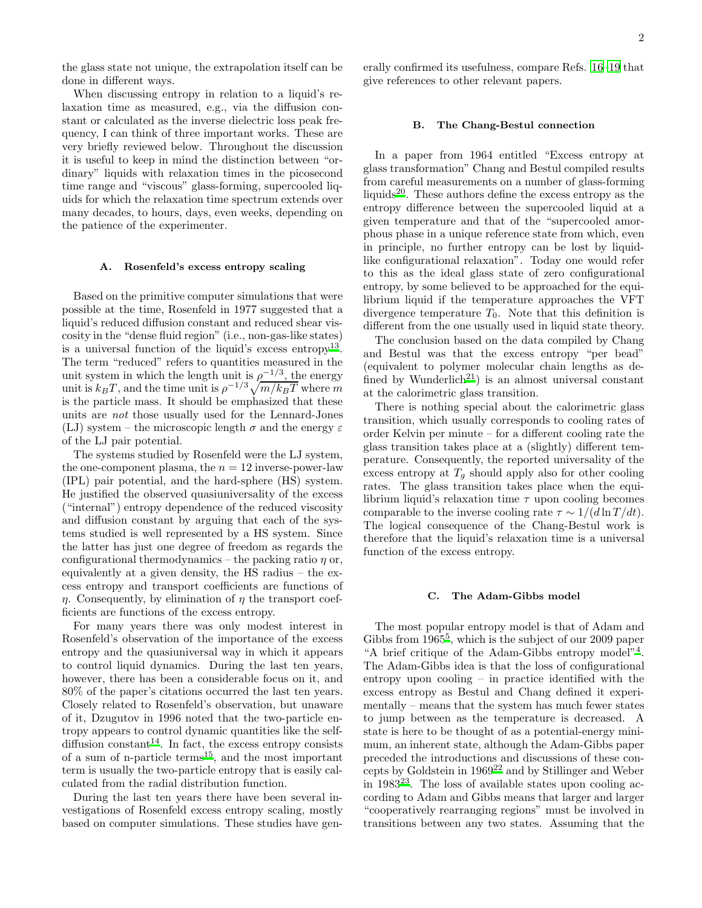the glass state not unique, the extrapolation itself can be done in different ways.

When discussing entropy in relation to a liquid's relaxation time as measured, e.g., via the diffusion constant or calculated as the inverse dielectric loss peak frequency, I can think of three important works. These are very briefly reviewed below. Throughout the discussion it is useful to keep in mind the distinction between "ordinary" liquids with relaxation times in the picosecond time range and "viscous" glass-forming, supercooled liquids for which the relaxation time spectrum extends over many decades, to hours, days, even weeks, depending on the patience of the experimenter.

#### <span id="page-1-0"></span>A. Rosenfeld's excess entropy scaling

Based on the primitive computer simulations that were possible at the time, Rosenfeld in 1977 suggested that a liquid's reduced diffusion constant and reduced shear viscosity in the "dense fluid region" (i.e., non-gas-like states) is a universal function of the liquid's excess entropy[13](#page-4-10) . The term "reduced" refers to quantities measured in the unit system in which the length unit is  $\rho^{-1/3}$ , the energy unit is  $k_B T$ , and the time unit is  $\rho^{-1/3}\sqrt{m/k_B T}$  where m is the particle mass. It should be emphasized that these units are not those usually used for the Lennard-Jones (LJ) system – the microscopic length  $\sigma$  and the energy  $\varepsilon$ of the LJ pair potential.

The systems studied by Rosenfeld were the LJ system, the one-component plasma, the  $n = 12$  inverse-power-law (IPL) pair potential, and the hard-sphere (HS) system. He justified the observed quasiuniversality of the excess ("internal") entropy dependence of the reduced viscosity and diffusion constant by arguing that each of the systems studied is well represented by a HS system. Since the latter has just one degree of freedom as regards the configurational thermodynamics – the packing ratio  $\eta$  or, equivalently at a given density, the HS radius – the excess entropy and transport coefficients are functions of  $\eta$ . Consequently, by elimination of  $\eta$  the transport coefficients are functions of the excess entropy.

For many years there was only modest interest in Rosenfeld's observation of the importance of the excess entropy and the quasiuniversal way in which it appears to control liquid dynamics. During the last ten years, however, there has been a considerable focus on it, and 80% of the paper's citations occurred the last ten years. Closely related to Rosenfeld's observation, but unaware of it, Dzugutov in 1996 noted that the two-particle entropy appears to control dynamic quantities like the self-diffusion constant<sup>[14](#page-4-11)</sup>. In fact, the excess entropy consists of a sum of n-particle terms<sup>[15](#page-4-12)</sup>, and the most important term is usually the two-particle entropy that is easily calculated from the radial distribution function.

During the last ten years there have been several investigations of Rosenfeld excess entropy scaling, mostly based on computer simulations. These studies have generally confirmed its usefulness, compare Refs. [16](#page-4-13)[–19](#page-4-14) that give references to other relevant papers.

### B. The Chang-Bestul connection

In a paper from 1964 entitled "Excess entropy at glass transformation" Chang and Bestul compiled results from careful measurements on a number of glass-forming liquids[20](#page-4-15). These authors define the excess entropy as the entropy difference between the supercooled liquid at a given temperature and that of the "supercooled amorphous phase in a unique reference state from which, even in principle, no further entropy can be lost by liquidlike configurational relaxation". Today one would refer to this as the ideal glass state of zero configurational entropy, by some believed to be approached for the equilibrium liquid if the temperature approaches the VFT divergence temperature  $T_0$ . Note that this definition is different from the one usually used in liquid state theory.

The conclusion based on the data compiled by Chang and Bestul was that the excess entropy "per bead" (equivalent to polymer molecular chain lengths as de-fined by Wunderlich<sup>[21](#page-4-16)</sup>) is an almost universal constant at the calorimetric glass transition.

There is nothing special about the calorimetric glass transition, which usually corresponds to cooling rates of order Kelvin per minute – for a different cooling rate the glass transition takes place at a (slightly) different temperature. Consequently, the reported universality of the excess entropy at  $T<sub>g</sub>$  should apply also for other cooling rates. The glass transition takes place when the equilibrium liquid's relaxation time  $\tau$  upon cooling becomes comparable to the inverse cooling rate  $\tau \sim 1/(d \ln T/dt)$ . The logical consequence of the Chang-Bestul work is therefore that the liquid's relaxation time is a universal function of the excess entropy.

#### C. The Adam-Gibbs model

The most popular entropy model is that of Adam and Gibbs from  $1965^5$  $1965^5$  $1965^5$ , which is the subject of our 2009 paper "A brief critique of the Adam-Gibbs entropy model"[4](#page-4-4) . The Adam-Gibbs idea is that the loss of configurational entropy upon cooling – in practice identified with the excess entropy as Bestul and Chang defined it experimentally – means that the system has much fewer states to jump between as the temperature is decreased. A state is here to be thought of as a potential-energy minimum, an inherent state, although the Adam-Gibbs paper preceded the introductions and discussions of these concepts by Goldstein in 1969[22](#page-4-17) and by Stillinger and Weber in  $1983^{23}$  $1983^{23}$  $1983^{23}$ . The loss of available states upon cooling according to Adam and Gibbs means that larger and larger "cooperatively rearranging regions" must be involved in transitions between any two states. Assuming that the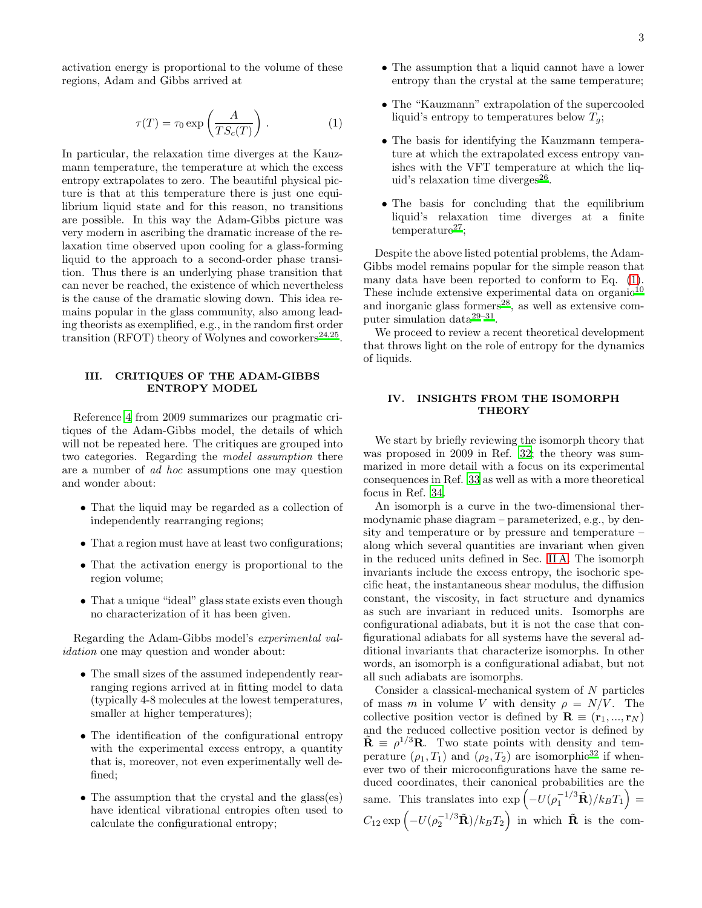activation energy is proportional to the volume of these regions, Adam and Gibbs arrived at

<span id="page-2-0"></span>
$$
\tau(T) = \tau_0 \exp\left(\frac{A}{TS_c(T)}\right). \tag{1}
$$

In particular, the relaxation time diverges at the Kauzmann temperature, the temperature at which the excess entropy extrapolates to zero. The beautiful physical picture is that at this temperature there is just one equilibrium liquid state and for this reason, no transitions are possible. In this way the Adam-Gibbs picture was very modern in ascribing the dramatic increase of the relaxation time observed upon cooling for a glass-forming liquid to the approach to a second-order phase transition. Thus there is an underlying phase transition that can never be reached, the existence of which nevertheless is the cause of the dramatic slowing down. This idea remains popular in the glass community, also among leading theorists as exemplified, e.g., in the random first order transition (RFOT) theory of Wolynes and coworkers<sup>[24](#page-4-19)[,25](#page-4-20)</sup>.

# III. CRITIQUES OF THE ADAM-GIBBS ENTROPY MODEL

Reference [4](#page-4-4) from 2009 summarizes our pragmatic critiques of the Adam-Gibbs model, the details of which will not be repeated here. The critiques are grouped into two categories. Regarding the model assumption there are a number of ad hoc assumptions one may question and wonder about:

- That the liquid may be regarded as a collection of independently rearranging regions;
- That a region must have at least two configurations;
- That the activation energy is proportional to the region volume;
- That a unique "ideal" glass state exists even though no characterization of it has been given.

Regarding the Adam-Gibbs model's experimental validation one may question and wonder about:

- The small sizes of the assumed independently rearranging regions arrived at in fitting model to data (typically 4-8 molecules at the lowest temperatures, smaller at higher temperatures);
- The identification of the configurational entropy with the experimental excess entropy, a quantity that is, moreover, not even experimentally well defined;
- The assumption that the crystal and the glass(es) have identical vibrational entropies often used to calculate the configurational entropy;
- The assumption that a liquid cannot have a lower entropy than the crystal at the same temperature;
- The "Kauzmann" extrapolation of the supercooled liquid's entropy to temperatures below  $T_g$ ;
- The basis for identifying the Kauzmann temperature at which the extrapolated excess entropy vanishes with the VFT temperature at which the liquid's relaxation time diverges $^{26}$  $^{26}$  $^{26}$ .
- The basis for concluding that the equilibrium liquid's relaxation time diverges at a finite  $temperature<sup>27</sup>$  $temperature<sup>27</sup>$  $temperature<sup>27</sup>$ ;

Despite the above listed potential problems, the Adam-Gibbs model remains popular for the simple reason that many data have been reported to conform to Eq. [\(1\)](#page-2-0). These include extensive experimental data on  $^{\rm org.}$ and inorganic gla[s](#page-4-24)s formers<sup>28</sup>, as well as extensive com-puter simulation data<sup>[29](#page-4-25)-31</sup>.

We proceed to review a recent theoretical development that throws light on the role of entropy for the dynamics of liquids.

### IV. INSIGHTS FROM THE ISOMORPH **THEORY**

We start by briefly reviewing the isomorph theory that was proposed in 2009 in Ref. [32;](#page-4-27) the theory was summarized in more detail with a focus on its experimental consequences in Ref. [33](#page-5-0) as well as with a more theoretical focus in Ref. [34](#page-5-1).

An isomorph is a curve in the two-dimensional thermodynamic phase diagram – parameterized, e.g., by density and temperature or by pressure and temperature – along which several quantities are invariant when given in the reduced units defined in Sec. [II A.](#page-1-0) The isomorph invariants include the excess entropy, the isochoric specific heat, the instantaneous shear modulus, the diffusion constant, the viscosity, in fact structure and dynamics as such are invariant in reduced units. Isomorphs are configurational adiabats, but it is not the case that configurational adiabats for all systems have the several additional invariants that characterize isomorphs. In other words, an isomorph is a configurational adiabat, but not all such adiabats are isomorphs.

Consider a classical-mechanical system of N particles of mass m in volume V with density  $\rho = N/V$ . The collective position vector is defined by  $\mathbf{R} \equiv (\mathbf{r}_1, ..., \mathbf{r}_N)$ and the reduced collective position vector is defined by  $\tilde{\mathbf{R}} \equiv \rho^{1/3} \mathbf{R}$ . Two state points with density and temperature  $(\rho_1, T_1)$  and  $(\rho_2, T_2)$  are isomorphic<sup>[32](#page-4-27)</sup> if whenever two of their microconfigurations have the same reduced coordinates, their canonical probabilities are the same. This translates into  $\exp\left(-U(\rho_1^{-1/3}\tilde{\mathbf{R}})/k_BT_1\right)$  =  $C_{12} \exp \left(-U(\rho_2^{-1/3}\tilde{\mathbf{R}})/k_B T_2\right)$  in which  $\tilde{\mathbf{R}}$  is the com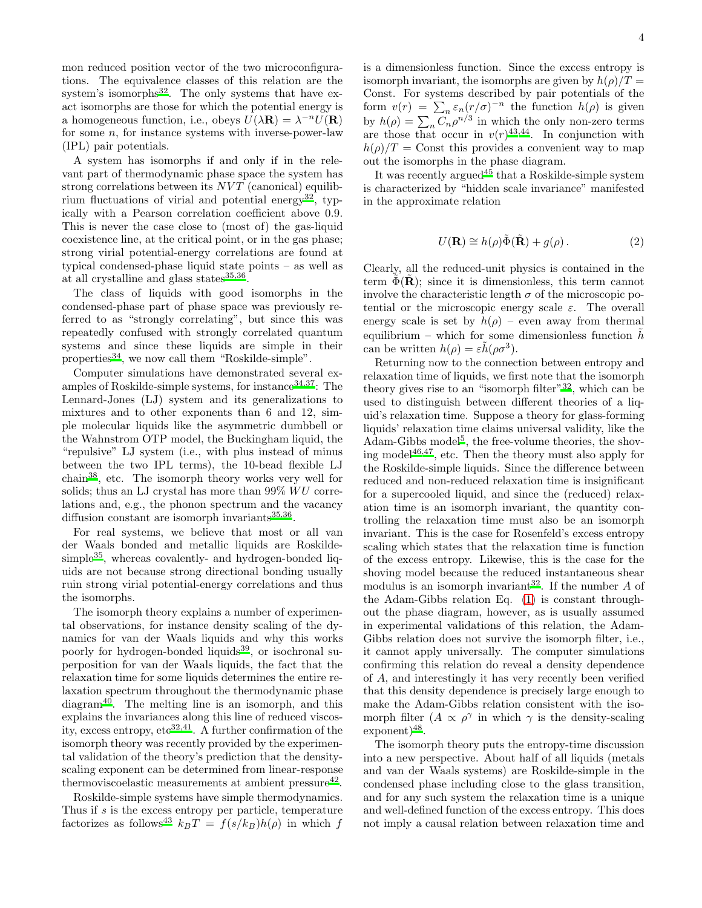mon reduced position vector of the two microconfigurations. The equivalence classes of this relation are the system's isomorphs $32$ . The only systems that have exact isomorphs are those for which the potential energy is a homogeneous function, i.e., obeys  $U(\lambda \mathbf{R}) = \lambda^{-n} U(\mathbf{R})$ for some  $n$ , for instance systems with inverse-power-law (IPL) pair potentials.

A system has isomorphs if and only if in the relevant part of thermodynamic phase space the system has strong correlations between its  $NVT$  (canonical) equilib-rium fluctuations of virial and potential energy<sup>[32](#page-4-27)</sup>, typically with a Pearson correlation coefficient above 0.9. This is never the case close to (most of) the gas-liquid coexistence line, at the critical point, or in the gas phase; strong virial potential-energy correlations are found at typical condensed-phase liquid state points – as well as at all crystalline and glass states $^{35,36}$  $^{35,36}$  $^{35,36}$  $^{35,36}$ .

The class of liquids with good isomorphs in the condensed-phase part of phase space was previously referred to as "strongly correlating", but since this was repeatedly confused with strongly correlated quantum systems and since these liquids are simple in their properties<sup>[34](#page-5-1)</sup>, we now call them "Roskilde-simple".

Computer simulations have demonstrated several examples of Roskilde-simple systems, for instance  $34,37$  $34,37$ : The Lennard-Jones (LJ) system and its generalizations to mixtures and to other exponents than 6 and 12, simple molecular liquids like the asymmetric dumbbell or the Wahnstrom OTP model, the Buckingham liquid, the "repulsive" LJ system (i.e., with plus instead of minus between the two IPL terms), the 10-bead flexible LJ chain[38](#page-5-5), etc. The isomorph theory works very well for solids; thus an LJ crystal has more than  $99\%$   $WU$  correlations and, e.g., the phonon spectrum and the vacancy diffusion constant are isomorph invariants<sup>[35](#page-5-2)[,36](#page-5-3)</sup>.

For real systems, we believe that most or all van der Waals bonded and metallic liquids are Roskilde- $simple^{35}$  $simple^{35}$  $simple^{35}$ , whereas covalently- and hydrogen-bonded liquids are not because strong directional bonding usually ruin strong virial potential-energy correlations and thus the isomorphs.

The isomorph theory explains a number of experimental observations, for instance density scaling of the dynamics for van der Waals liquids and why this works poorly for hydrogen-bonded liquids<sup>[39](#page-5-6)</sup>, or isochronal superposition for van der Waals liquids, the fact that the relaxation time for some liquids determines the entire relaxation spectrum throughout the thermodynamic phase diagram[40](#page-5-7). The melting line is an isomorph, and this explains the invariances along this line of reduced viscosity, excess entropy,  $etc^{32,41}$  $etc^{32,41}$  $etc^{32,41}$  $etc^{32,41}$ . A further confirmation of the isomorph theory was recently provided by the experimental validation of the theory's prediction that the densityscaling exponent can be determined from linear-response thermoviscoelastic measurements at ambient pressure<sup>[42](#page-5-9)</sup>.

Roskilde-simple systems have simple thermodynamics. Thus if s is the excess entropy per particle, temperature factorizes as follows<sup>[43](#page-5-10)</sup>  $k_BT = f(s/k_B)h(\rho)$  in which f

is a dimensionless function. Since the excess entropy is isomorph invariant, the isomorphs are given by  $h(\rho)/T =$ Const. For systems described by pair potentials of the form  $v(r) = \sum_{n} \varepsilon_n (r/\sigma)^{-n}$  the function  $h(\rho)$  is given by  $h(\rho) = \sum_n C_n \rho^{n/3}$  in which the only non-zero terms are those that occur in  $v(r)^{43,44}$  $v(r)^{43,44}$  $v(r)^{43,44}$  $v(r)^{43,44}$ . In conjunction with  $h(\rho)/T =$  Const this provides a convenient way to map out the isomorphs in the phase diagram.

It was recently argued<sup>[45](#page-5-12)</sup> that a Roskilde-simple system is characterized by "hidden scale invariance" manifested in the approximate relation

$$
U(\mathbf{R}) \cong h(\rho)\tilde{\Phi}(\tilde{\mathbf{R}}) + g(\rho).
$$
 (2)

Clearly, all the reduced-unit physics is contained in the term  $\Phi(R)$ ; since it is dimensionless, this term cannot involve the characteristic length  $\sigma$  of the microscopic potential or the microscopic energy scale  $\varepsilon$ . The overall energy scale is set by  $h(\rho)$  – even away from thermal equilibrium – which for some dimensionless function  $h$ can be written  $h(\rho) = \varepsilon \tilde{h}(\rho \sigma^3)$ .

Returning now to the connection between entropy and relaxation time of liquids, we first note that the isomorph theory gives rise to an "isomorph filter"<sup>[32](#page-4-27)</sup>, which can be used to distinguish between different theories of a liquid's relaxation time. Suppose a theory for glass-forming liquids' relaxation time claims universal validity, like the Adam-Gibbs model<sup>[5](#page-4-5)</sup>, the free-volume theories, the shoving model $46,47$  $46,47$ , etc. Then the theory must also apply for the Roskilde-simple liquids. Since the difference between reduced and non-reduced relaxation time is insignificant for a supercooled liquid, and since the (reduced) relaxation time is an isomorph invariant, the quantity controlling the relaxation time must also be an isomorph invariant. This is the case for Rosenfeld's excess entropy scaling which states that the relaxation time is function of the excess entropy. Likewise, this is the case for the shoving model because the reduced instantaneous shear modulus is an isomorph invariant<sup>[32](#page-4-27)</sup>. If the number  $A$  of the Adam-Gibbs relation Eq. [\(1\)](#page-2-0) is constant throughout the phase diagram, however, as is usually assumed in experimental validations of this relation, the Adam-Gibbs relation does not survive the isomorph filter, i.e., it cannot apply universally. The computer simulations confirming this relation do reveal a density dependence of A, and interestingly it has very recently been verified that this density dependence is precisely large enough to make the Adam-Gibbs relation consistent with the isomorph filter  $(A \propto \rho^{\gamma}$  in which  $\gamma$  is the density-scaling exponent)<sup>[48](#page-5-15)</sup>.

The isomorph theory puts the entropy-time discussion into a new perspective. About half of all liquids (metals and van der Waals systems) are Roskilde-simple in the condensed phase including close to the glass transition, and for any such system the relaxation time is a unique and well-defined function of the excess entropy. This does not imply a causal relation between relaxation time and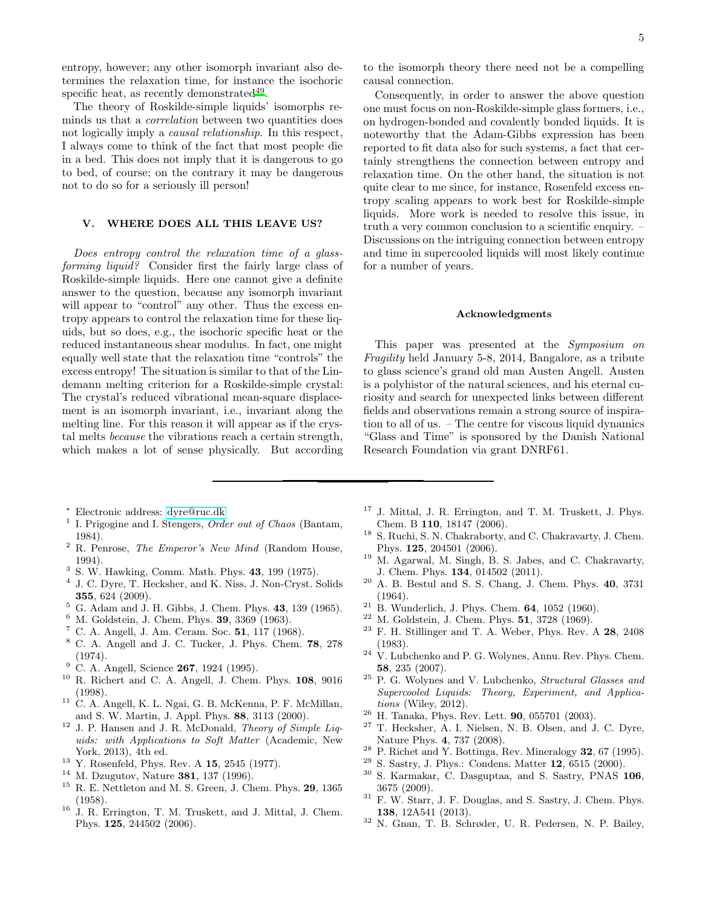entropy, however; any other isomorph invariant also determines the relaxation time, for instance the isochoric specific heat, as recently demonstrated<sup>[49](#page-5-16)</sup>.

The theory of Roskilde-simple liquids' isomorphs reminds us that a correlation between two quantities does not logically imply a causal relationship. In this respect, I always come to think of the fact that most people die in a bed. This does not imply that it is dangerous to go to bed, of course; on the contrary it may be dangerous not to do so for a seriously ill person!

# V. WHERE DOES ALL THIS LEAVE US?

Does entropy control the relaxation time of a glassforming liquid? Consider first the fairly large class of Roskilde-simple liquids. Here one cannot give a definite answer to the question, because any isomorph invariant will appear to "control" any other. Thus the excess entropy appears to control the relaxation time for these liquids, but so does, e.g., the isochoric specific heat or the reduced instantaneous shear modulus. In fact, one might equally well state that the relaxation time "controls" the excess entropy! The situation is similar to that of the Lindemann melting criterion for a Roskilde-simple crystal: The crystal's reduced vibrational mean-square displacement is an isomorph invariant, i.e., invariant along the melting line. For this reason it will appear as if the crystal melts because the vibrations reach a certain strength, which makes a lot of sense physically. But according

- <sup>∗</sup> Electronic address: [dyre@ruc.dk](mailto:dyre@ruc.dk)
- <span id="page-4-1"></span><span id="page-4-0"></span>1 I. Prigogine and I. Stengers, *Order out of Chaos* (Bantam, 1984).
- <span id="page-4-2"></span><sup>2</sup> R. Penrose, *The Emperor's New Mind* (Random House, 1994).
- <span id="page-4-3"></span>3 S. W. Hawking, Comm. Math. Phys. 43, 199 (1975).
- <span id="page-4-4"></span>4 J. C. Dyre, T. Hecksher, and K. Niss, J. Non-Cryst. Solids 355, 624 (2009).
- <span id="page-4-5"></span> $^5$  G. Adam and J. H. Gibbs, J. Chem. Phys. 43, 139 (1965).
- <span id="page-4-6"></span><sup>6</sup> M. Goldstein, J. Chem. Phys. **39**, 3369 (1963).
- <span id="page-4-7"></span><sup>7</sup> C. A. Angell, J. Am. Ceram. Soc. **51**, 117 (1968).
- <sup>8</sup> C. A. Angell and J. C. Tucker, J. Phys. Chem. 78, 278 (1974).
- $9$  C. A. Angell, Science 267, 1924 (1995).
- <span id="page-4-23"></span><sup>10</sup> R. Richert and C. A. Angell, J. Chem. Phys. 108, 9016 (1998).
- <span id="page-4-8"></span><sup>11</sup> C. A. Angell, K. L. Ngai, G. B. McKenna, P. F. McMillan, and S. W. Martin, J. Appl. Phys. 88, 3113 (2000).
- <span id="page-4-9"></span><sup>12</sup> J. P. Hansen and J. R. McDonald, *Theory of Simple Liquids: with Applications to Soft Matter* (Academic, New York, 2013), 4th ed.
- <span id="page-4-10"></span><sup>13</sup> Y. Rosenfeld, Phys. Rev. A 15, 2545 (1977).
- <span id="page-4-11"></span><sup>14</sup> M. Dzugutov, Nature **381**, 137 (1996).
- <span id="page-4-12"></span><sup>15</sup> R. E. Nettleton and M. S. Green, J. Chem. Phys. 29, 1365 (1958).
- <span id="page-4-13"></span><sup>16</sup> J. R. Errington, T. M. Truskett, and J. Mittal, J. Chem. Phys. 125, 244502 (2006).

to the isomorph theory there need not be a compelling causal connection.

Consequently, in order to answer the above question one must focus on non-Roskilde-simple glass formers, i.e., on hydrogen-bonded and covalently bonded liquids. It is noteworthy that the Adam-Gibbs expression has been reported to fit data also for such systems, a fact that certainly strengthens the connection between entropy and relaxation time. On the other hand, the situation is not quite clear to me since, for instance, Rosenfeld excess entropy scaling appears to work best for Roskilde-simple liquids. More work is needed to resolve this issue, in truth a very common conclusion to a scientific enquiry. – Discussions on the intriguing connection between entropy and time in supercooled liquids will most likely continue for a number of years.

### Acknowledgments

This paper was presented at the Symposium on Fragility held January 5-8, 2014, Bangalore, as a tribute to glass science's grand old man Austen Angell. Austen is a polyhistor of the natural sciences, and his eternal curiosity and search for unexpected links between different fields and observations remain a strong source of inspiration to all of us. – The centre for viscous liquid dynamics "Glass and Time" is sponsored by the Danish National Research Foundation via grant DNRF61.

- <sup>17</sup> J. Mittal, J. R. Errington, and T. M. Truskett, J. Phys. Chem. B 110, 18147 (2006).
- $^{18}$  S. Ruchi, S. N. Chakraborty, and C. Chakravarty, J. Chem. Phys. 125, 204501 (2006).
- <span id="page-4-14"></span><sup>19</sup> M. Agarwal, M. Singh, B. S. Jabes, and C. Chakravarty, J. Chem. Phys. 134, 014502 (2011).
- <span id="page-4-15"></span><sup>20</sup> A. B. Bestul and S. S. Chang, J. Chem. Phys. 40, 3731 (1964).
- <span id="page-4-16"></span> $21\,$  B. Wunderlich, J. Phys. Chem. **64**, 1052 (1960).
- <span id="page-4-17"></span><sup>22</sup> M. Goldstein, J. Chem. Phys. **51**, 3728 (1969).<br><sup>23</sup> E. H. Stillinger and T. A. Weber, Phys. Pox.
- <span id="page-4-18"></span><sup>23</sup> F. H. Stillinger and T. A. Weber, Phys. Rev. A 28, 2408 (1983).
- <span id="page-4-19"></span><sup>24</sup> V. Lubchenko and P. G. Wolynes, Annu. Rev. Phys. Chem. 58, 235 (2007).
- <span id="page-4-20"></span><sup>25</sup> P. G. Wolynes and V. Lubchenko, *Structural Glasses and Supercooled Liquids: Theory, Experiment, and Applications* (Wiley, 2012).
- <span id="page-4-21"></span> $26$  H. Tanaka, Phys. Rev. Lett. **90**, 055701 (2003).
- <span id="page-4-22"></span><sup>27</sup> T. Hecksher, A. I. Nielsen, N. B. Olsen, and J. C. Dyre, Nature Phys. 4, 737 (2008).
- <span id="page-4-24"></span><sup>28</sup> P. Richet and Y. Bottinga, Rev. Mineralogy 32, 67 (1995).
- <span id="page-4-25"></span><sup>29</sup> S. Sastry, J. Phys.: Condens. Matter **12**, 6515 (2000).<br><sup>30</sup> S. Kannalan, G. December and S. Sastry, PMAS 1
- S. Karmakar, C. Dasguptaa, and S. Sastry, PNAS 106, 3675 (2009).
- <span id="page-4-26"></span><sup>31</sup> F. W. Starr, J. F. Douglas, and S. Sastry, J. Chem. Phys. 138, 12A541 (2013).
- <span id="page-4-27"></span><sup>32</sup> N. Gnan, T. B. Schrøder, U. R. Pedersen, N. P. Bailey,